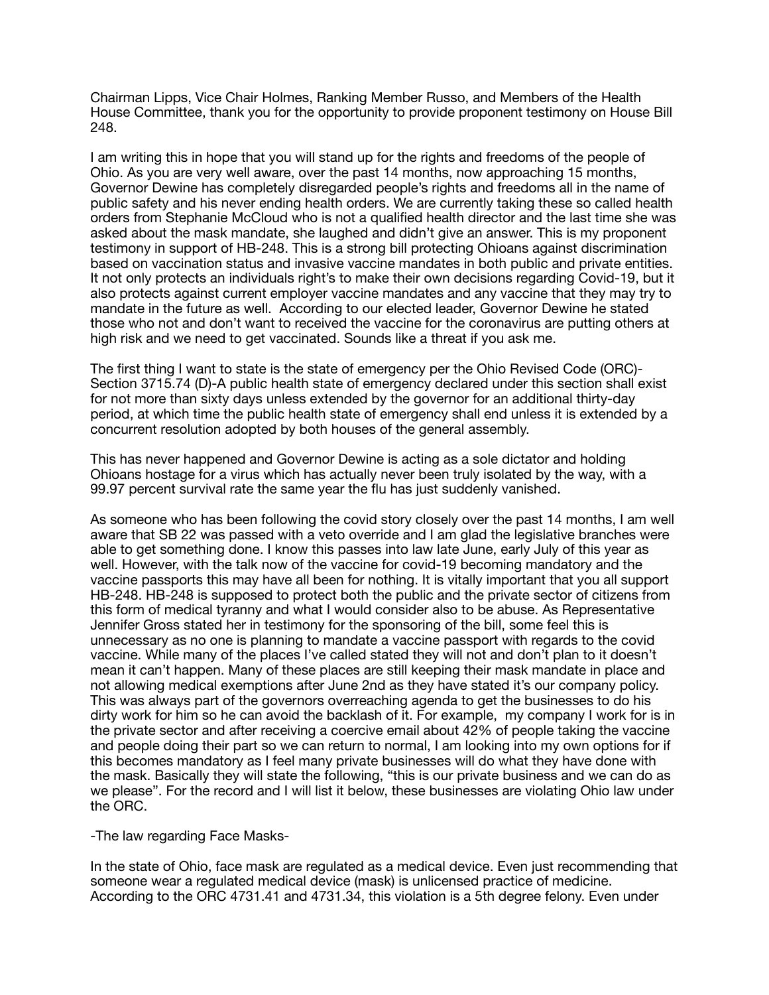Chairman Lipps, Vice Chair Holmes, Ranking Member Russo, and Members of the Health House Committee, thank you for the opportunity to provide proponent testimony on House Bill 248.

I am writing this in hope that you will stand up for the rights and freedoms of the people of Ohio. As you are very well aware, over the past 14 months, now approaching 15 months, Governor Dewine has completely disregarded people's rights and freedoms all in the name of public safety and his never ending health orders. We are currently taking these so called health orders from Stephanie McCloud who is not a qualified health director and the last time she was asked about the mask mandate, she laughed and didn't give an answer. This is my proponent testimony in support of HB-248. This is a strong bill protecting Ohioans against discrimination based on vaccination status and invasive vaccine mandates in both public and private entities. It not only protects an individuals right's to make their own decisions regarding Covid-19, but it also protects against current employer vaccine mandates and any vaccine that they may try to mandate in the future as well. According to our elected leader, Governor Dewine he stated those who not and don't want to received the vaccine for the coronavirus are putting others at high risk and we need to get vaccinated. Sounds like a threat if you ask me.

The first thing I want to state is the state of emergency per the Ohio Revised Code (ORC)- Section 3715.74 (D)-A public health state of emergency declared under this section shall exist for not more than sixty days unless extended by the governor for an additional thirty-day period, at which time the public health state of emergency shall end unless it is extended by a concurrent resolution adopted by both houses of the general assembly.

This has never happened and Governor Dewine is acting as a sole dictator and holding Ohioans hostage for a virus which has actually never been truly isolated by the way, with a 99.97 percent survival rate the same year the flu has just suddenly vanished.

As someone who has been following the covid story closely over the past 14 months, I am well aware that SB 22 was passed with a veto override and I am glad the legislative branches were able to get something done. I know this passes into law late June, early July of this year as well. However, with the talk now of the vaccine for covid-19 becoming mandatory and the vaccine passports this may have all been for nothing. It is vitally important that you all support HB-248. HB-248 is supposed to protect both the public and the private sector of citizens from this form of medical tyranny and what I would consider also to be abuse. As Representative Jennifer Gross stated her in testimony for the sponsoring of the bill, some feel this is unnecessary as no one is planning to mandate a vaccine passport with regards to the covid vaccine. While many of the places I've called stated they will not and don't plan to it doesn't mean it can't happen. Many of these places are still keeping their mask mandate in place and not allowing medical exemptions after June 2nd as they have stated it's our company policy. This was always part of the governors overreaching agenda to get the businesses to do his dirty work for him so he can avoid the backlash of it. For example, my company I work for is in the private sector and after receiving a coercive email about 42% of people taking the vaccine and people doing their part so we can return to normal, I am looking into my own options for if this becomes mandatory as I feel many private businesses will do what they have done with the mask. Basically they will state the following, "this is our private business and we can do as we please". For the record and I will list it below, these businesses are violating Ohio law under the ORC.

-The law regarding Face Masks-

In the state of Ohio, face mask are regulated as a medical device. Even just recommending that someone wear a regulated medical device (mask) is unlicensed practice of medicine. According to the ORC 4731.41 and 4731.34, this violation is a 5th degree felony. Even under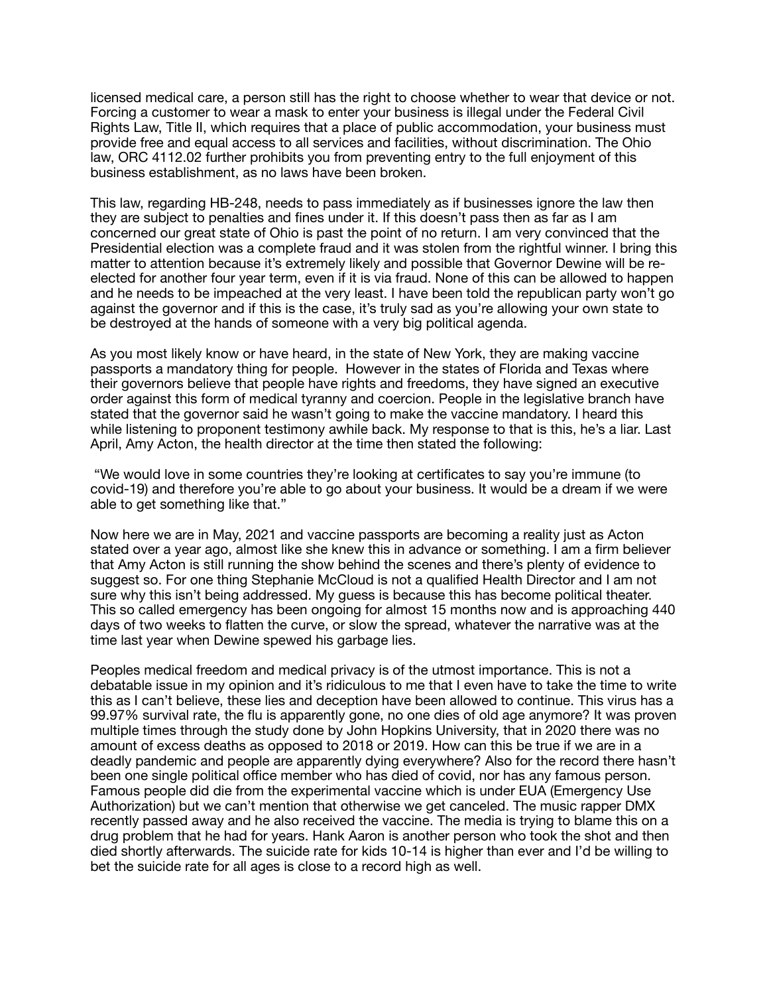licensed medical care, a person still has the right to choose whether to wear that device or not. Forcing a customer to wear a mask to enter your business is illegal under the Federal Civil Rights Law, Title II, which requires that a place of public accommodation, your business must provide free and equal access to all services and facilities, without discrimination. The Ohio law, ORC 4112.02 further prohibits you from preventing entry to the full enjoyment of this business establishment, as no laws have been broken.

This law, regarding HB-248, needs to pass immediately as if businesses ignore the law then they are subject to penalties and fines under it. If this doesn't pass then as far as I am concerned our great state of Ohio is past the point of no return. I am very convinced that the Presidential election was a complete fraud and it was stolen from the rightful winner. I bring this matter to attention because it's extremely likely and possible that Governor Dewine will be reelected for another four year term, even if it is via fraud. None of this can be allowed to happen and he needs to be impeached at the very least. I have been told the republican party won't go against the governor and if this is the case, it's truly sad as you're allowing your own state to be destroyed at the hands of someone with a very big political agenda.

As you most likely know or have heard, in the state of New York, they are making vaccine passports a mandatory thing for people. However in the states of Florida and Texas where their governors believe that people have rights and freedoms, they have signed an executive order against this form of medical tyranny and coercion. People in the legislative branch have stated that the governor said he wasn't going to make the vaccine mandatory. I heard this while listening to proponent testimony awhile back. My response to that is this, he's a liar. Last April, Amy Acton, the health director at the time then stated the following:

 "We would love in some countries they're looking at certificates to say you're immune (to covid-19) and therefore you're able to go about your business. It would be a dream if we were able to get something like that."

Now here we are in May, 2021 and vaccine passports are becoming a reality just as Acton stated over a year ago, almost like she knew this in advance or something. I am a firm believer that Amy Acton is still running the show behind the scenes and there's plenty of evidence to suggest so. For one thing Stephanie McCloud is not a qualified Health Director and I am not sure why this isn't being addressed. My guess is because this has become political theater. This so called emergency has been ongoing for almost 15 months now and is approaching 440 days of two weeks to flatten the curve, or slow the spread, whatever the narrative was at the time last year when Dewine spewed his garbage lies.

Peoples medical freedom and medical privacy is of the utmost importance. This is not a debatable issue in my opinion and it's ridiculous to me that I even have to take the time to write this as I can't believe, these lies and deception have been allowed to continue. This virus has a 99.97% survival rate, the flu is apparently gone, no one dies of old age anymore? It was proven multiple times through the study done by John Hopkins University, that in 2020 there was no amount of excess deaths as opposed to 2018 or 2019. How can this be true if we are in a deadly pandemic and people are apparently dying everywhere? Also for the record there hasn't been one single political office member who has died of covid, nor has any famous person. Famous people did die from the experimental vaccine which is under EUA (Emergency Use Authorization) but we can't mention that otherwise we get canceled. The music rapper DMX recently passed away and he also received the vaccine. The media is trying to blame this on a drug problem that he had for years. Hank Aaron is another person who took the shot and then died shortly afterwards. The suicide rate for kids 10-14 is higher than ever and I'd be willing to bet the suicide rate for all ages is close to a record high as well.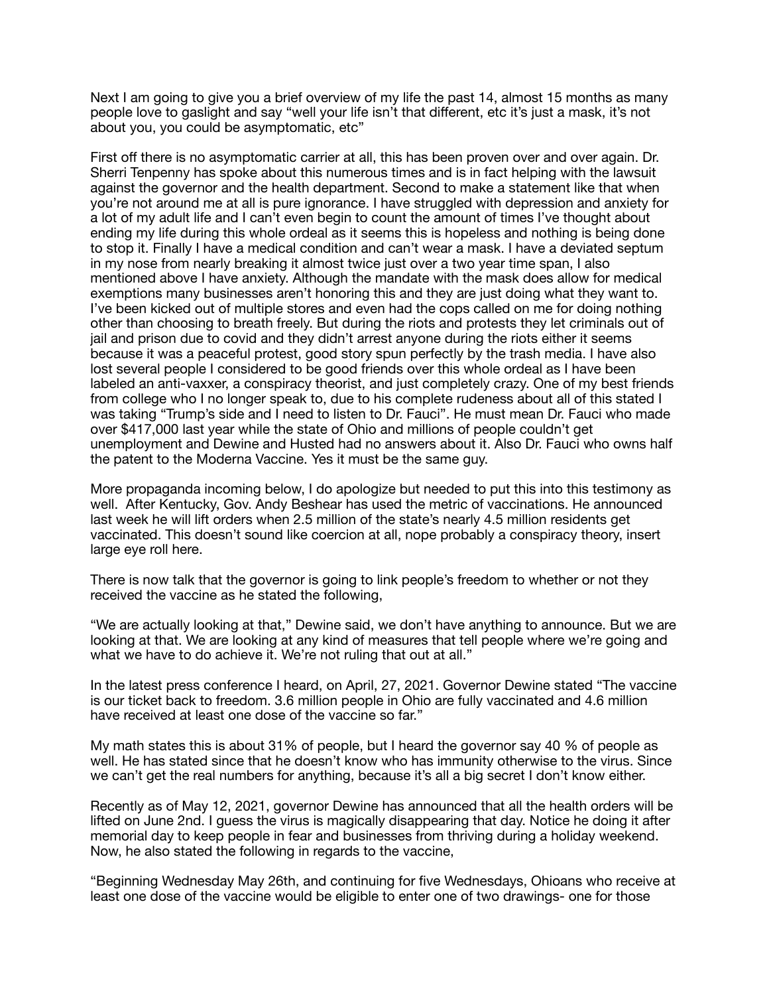Next I am going to give you a brief overview of my life the past 14, almost 15 months as many people love to gaslight and say "well your life isn't that different, etc it's just a mask, it's not about you, you could be asymptomatic, etc"

First off there is no asymptomatic carrier at all, this has been proven over and over again. Dr. Sherri Tenpenny has spoke about this numerous times and is in fact helping with the lawsuit against the governor and the health department. Second to make a statement like that when you're not around me at all is pure ignorance. I have struggled with depression and anxiety for a lot of my adult life and I can't even begin to count the amount of times I've thought about ending my life during this whole ordeal as it seems this is hopeless and nothing is being done to stop it. Finally I have a medical condition and can't wear a mask. I have a deviated septum in my nose from nearly breaking it almost twice just over a two year time span, I also mentioned above I have anxiety. Although the mandate with the mask does allow for medical exemptions many businesses aren't honoring this and they are just doing what they want to. I've been kicked out of multiple stores and even had the cops called on me for doing nothing other than choosing to breath freely. But during the riots and protests they let criminals out of jail and prison due to covid and they didn't arrest anyone during the riots either it seems because it was a peaceful protest, good story spun perfectly by the trash media. I have also lost several people I considered to be good friends over this whole ordeal as I have been labeled an anti-vaxxer, a conspiracy theorist, and just completely crazy. One of my best friends from college who I no longer speak to, due to his complete rudeness about all of this stated I was taking "Trump's side and I need to listen to Dr. Fauci". He must mean Dr. Fauci who made over \$417,000 last year while the state of Ohio and millions of people couldn't get unemployment and Dewine and Husted had no answers about it. Also Dr. Fauci who owns half the patent to the Moderna Vaccine. Yes it must be the same guy.

More propaganda incoming below, I do apologize but needed to put this into this testimony as well. After Kentucky, Gov. Andy Beshear has used the metric of vaccinations. He announced last week he will lift orders when 2.5 million of the state's nearly 4.5 million residents get vaccinated. This doesn't sound like coercion at all, nope probably a conspiracy theory, insert large eye roll here.

There is now talk that the governor is going to link people's freedom to whether or not they received the vaccine as he stated the following,

"We are actually looking at that," Dewine said, we don't have anything to announce. But we are looking at that. We are looking at any kind of measures that tell people where we're going and what we have to do achieve it. We're not ruling that out at all."

In the latest press conference I heard, on April, 27, 2021. Governor Dewine stated "The vaccine is our ticket back to freedom. 3.6 million people in Ohio are fully vaccinated and 4.6 million have received at least one dose of the vaccine so far."

My math states this is about 31% of people, but I heard the governor say 40 % of people as well. He has stated since that he doesn't know who has immunity otherwise to the virus. Since we can't get the real numbers for anything, because it's all a big secret I don't know either.

Recently as of May 12, 2021, governor Dewine has announced that all the health orders will be lifted on June 2nd. I guess the virus is magically disappearing that day. Notice he doing it after memorial day to keep people in fear and businesses from thriving during a holiday weekend. Now, he also stated the following in regards to the vaccine,

"Beginning Wednesday May 26th, and continuing for five Wednesdays, Ohioans who receive at least one dose of the vaccine would be eligible to enter one of two drawings- one for those